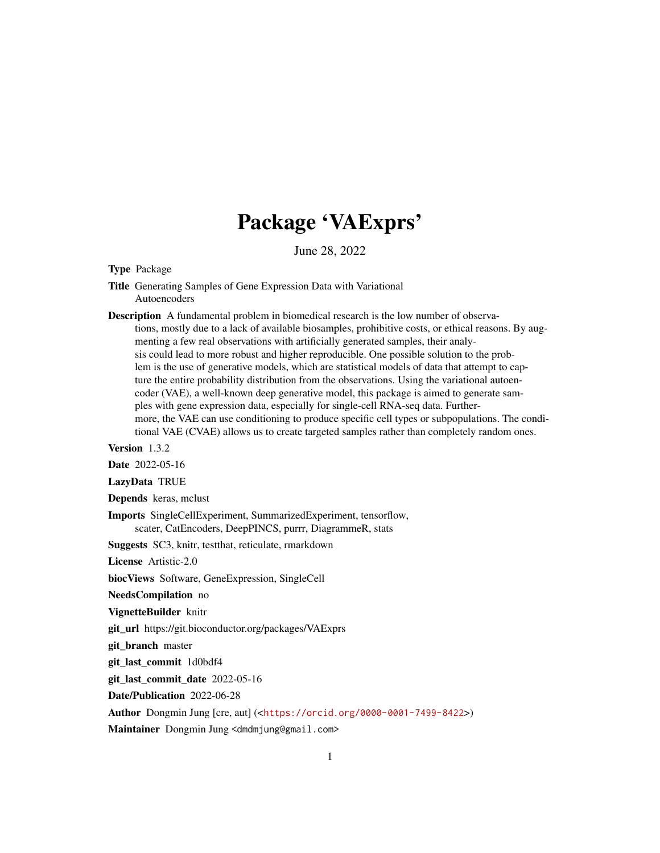## Package 'VAExprs'

June 28, 2022

Type Package

Title Generating Samples of Gene Expression Data with Variational Autoencoders

Description A fundamental problem in biomedical research is the low number of observations, mostly due to a lack of available biosamples, prohibitive costs, or ethical reasons. By augmenting a few real observations with artificially generated samples, their analysis could lead to more robust and higher reproducible. One possible solution to the problem is the use of generative models, which are statistical models of data that attempt to capture the entire probability distribution from the observations. Using the variational autoencoder (VAE), a well-known deep generative model, this package is aimed to generate samples with gene expression data, especially for single-cell RNA-seq data. Furthermore, the VAE can use conditioning to produce specific cell types or subpopulations. The conditional VAE (CVAE) allows us to create targeted samples rather than completely random ones.

Version 1.3.2

Date 2022-05-16

LazyData TRUE

Depends keras, mclust

Imports SingleCellExperiment, SummarizedExperiment, tensorflow, scater, CatEncoders, DeepPINCS, purrr, DiagrammeR, stats

Suggests SC3, knitr, testthat, reticulate, rmarkdown

License Artistic-2.0

biocViews Software, GeneExpression, SingleCell

NeedsCompilation no

VignetteBuilder knitr

git\_url https://git.bioconductor.org/packages/VAExprs

git\_branch master

git\_last\_commit 1d0bdf4

git\_last\_commit\_date 2022-05-16

Date/Publication 2022-06-28

Author Dongmin Jung [cre, aut] (<<https://orcid.org/0000-0001-7499-8422>>)

Maintainer Dongmin Jung <dmdmjung@gmail.com>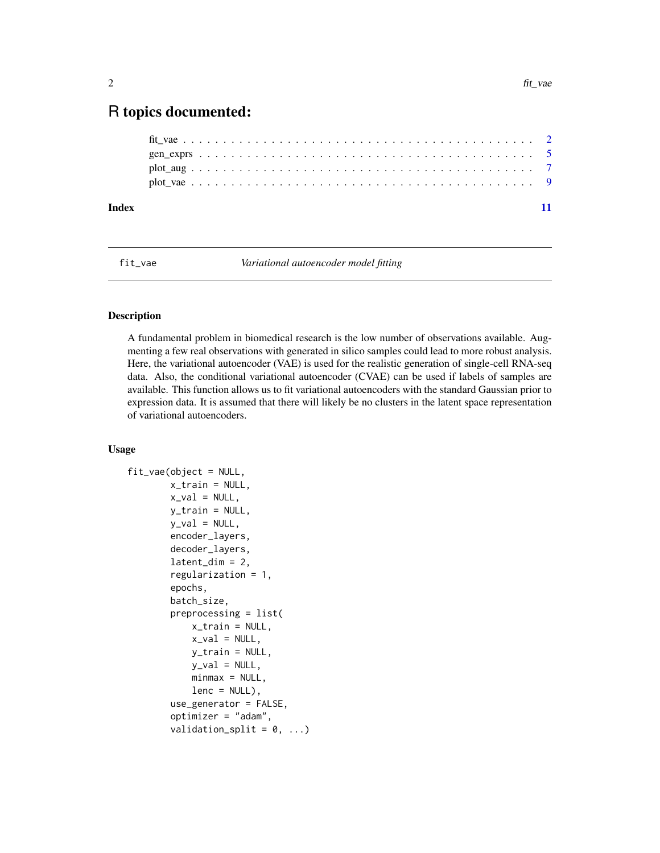### <span id="page-1-0"></span>R topics documented:

| Index |  |  |  |  |  |  |  |  |  |  |  |  |  |  |  |  |  |  |  |  |  |  |  |
|-------|--|--|--|--|--|--|--|--|--|--|--|--|--|--|--|--|--|--|--|--|--|--|--|
|       |  |  |  |  |  |  |  |  |  |  |  |  |  |  |  |  |  |  |  |  |  |  |  |
|       |  |  |  |  |  |  |  |  |  |  |  |  |  |  |  |  |  |  |  |  |  |  |  |
|       |  |  |  |  |  |  |  |  |  |  |  |  |  |  |  |  |  |  |  |  |  |  |  |
|       |  |  |  |  |  |  |  |  |  |  |  |  |  |  |  |  |  |  |  |  |  |  |  |

fit\_vae *Variational autoencoder model fitting*

#### Description

A fundamental problem in biomedical research is the low number of observations available. Augmenting a few real observations with generated in silico samples could lead to more robust analysis. Here, the variational autoencoder (VAE) is used for the realistic generation of single-cell RNA-seq data. Also, the conditional variational autoencoder (CVAE) can be used if labels of samples are available. This function allows us to fit variational autoencoders with the standard Gaussian prior to expression data. It is assumed that there will likely be no clusters in the latent space representation of variational autoencoders.

#### Usage

```
fit_vae(object = NULL,
        x_train = NULL,
        x<sub>-</sub>val = NULL,
        y_train = NULL,
        y_val = NULL,
        encoder_layers,
        decoder_layers,
        latent\_dim = 2,
        regularization = 1,
        epochs,
        batch_size,
        preprocessing = list(
            x_train = NULL,
            x-val = NULL,
            y_train = NULL,
            v_val = NULL,
            minmax = NULL,lenc = NULL,
        use_generator = FALSE,
        optimizer = "adam",
        validation_split = 0, ...)
```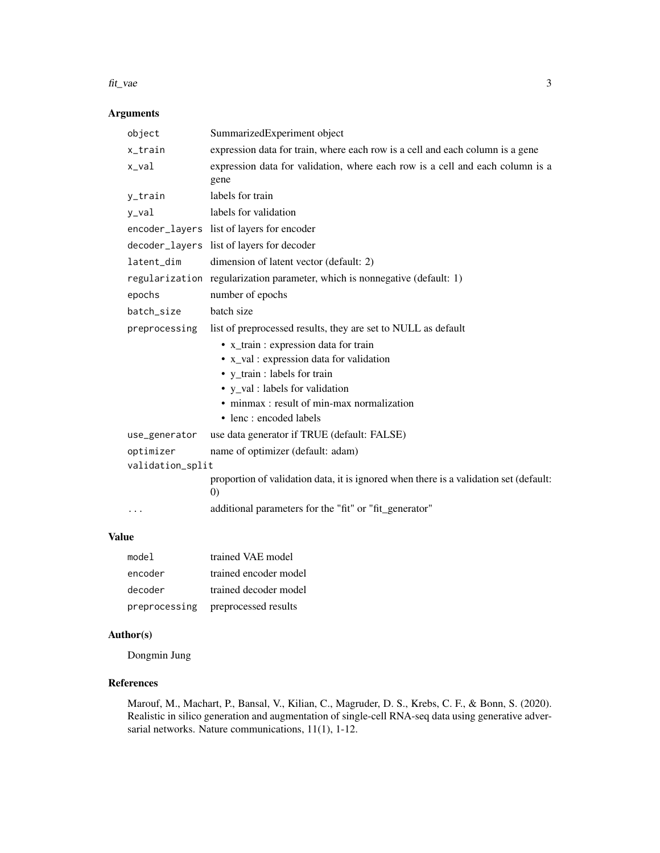#### fit\_vae 3

#### Arguments

| object           | SummarizedExperiment object                                                                  |
|------------------|----------------------------------------------------------------------------------------------|
| x_train          | expression data for train, where each row is a cell and each column is a gene                |
| x_val            | expression data for validation, where each row is a cell and each column is a<br>gene        |
| y_train          | labels for train                                                                             |
| y_val            | labels for validation                                                                        |
|                  | encoder_layers list of layers for encoder                                                    |
|                  | decoder_layers list of layers for decoder                                                    |
| latent_dim       | dimension of latent vector (default: 2)                                                      |
|                  | regularization regularization parameter, which is nonnegative (default: 1)                   |
| epochs           | number of epochs                                                                             |
| batch_size       | batch size                                                                                   |
| preprocessing    | list of preprocessed results, they are set to NULL as default                                |
|                  | • x_train : expression data for train                                                        |
|                  | • x_val : expression data for validation                                                     |
|                  | • y_train : labels for train                                                                 |
|                  | • y_val : labels for validation                                                              |
|                  | • minmax: result of min-max normalization                                                    |
|                  | • lenc : encoded labels                                                                      |
| use_generator    | use data generator if TRUE (default: FALSE)                                                  |
| optimizer        | name of optimizer (default: adam)                                                            |
| validation_split |                                                                                              |
|                  | proportion of validation data, it is ignored when there is a validation set (default:<br>(0) |
| $\cdots$         | additional parameters for the "fit" or "fit_generator"                                       |

#### Value

| model         | trained VAE model     |
|---------------|-----------------------|
| encoder       | trained encoder model |
| decoder       | trained decoder model |
| preprocessing | preprocessed results  |

#### Author(s)

Dongmin Jung

#### References

Marouf, M., Machart, P., Bansal, V., Kilian, C., Magruder, D. S., Krebs, C. F., & Bonn, S. (2020). Realistic in silico generation and augmentation of single-cell RNA-seq data using generative adversarial networks. Nature communications, 11(1), 1-12.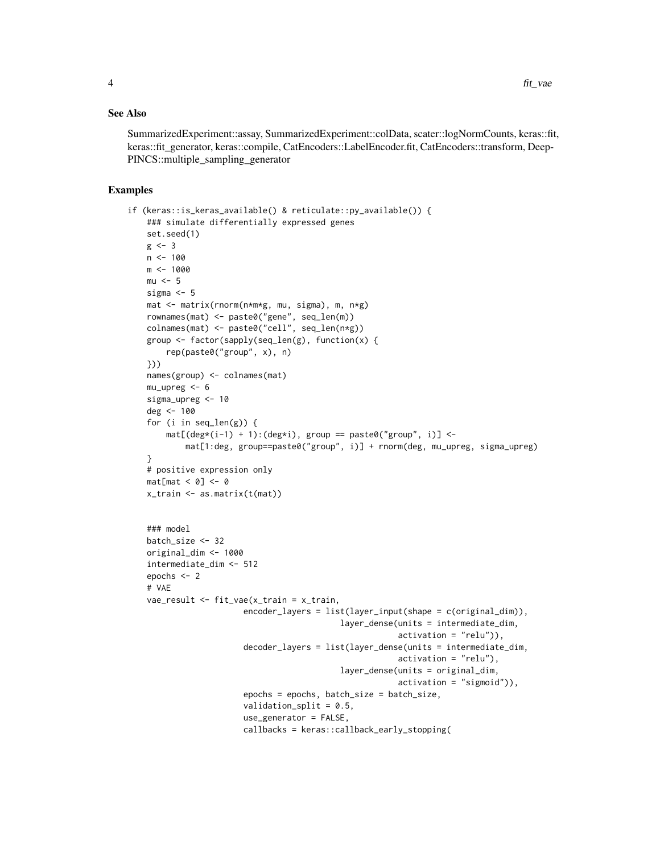#### See Also

SummarizedExperiment::assay, SummarizedExperiment::colData, scater::logNormCounts, keras::fit, keras::fit\_generator, keras::compile, CatEncoders::LabelEncoder.fit, CatEncoders::transform, Deep-PINCS::multiple\_sampling\_generator

#### Examples

```
if (keras::is_keras_available() & reticulate::py_available()) {
   ### simulate differentially expressed genes
   set.seed(1)
   g \leftarrow 3n <- 100
   m <- 1000
   mu < - 5sigma <-5mat <- matrix(rnorm(n*m*g, mu, sigma), m, n*g)
   rownames(mat) <- paste0("gene", seq_len(m))
   colnames(mat) <- paste0("cell", seq_len(n*g))
   group <- factor(sapply(seq_len(g), function(x) {
       rep(paste0("group", x), n)
   }))
   names(group) <- colnames(mat)
   mu\_upreg < -6sigma_upreg <- 10
   deg <- 100
   for (i in seq_len(g)) {
       mat[(deg*(i-1) + 1):(deg* i), group == paste0("group", i)] <-
           mat[1:deg, group = paste0("group", i)] + rnorm(deg, mu\_upreg, sigma\_upreg)}
   # positive expression only
   mat[mat < 0] <- 0
   x_train <- as.matrix(t(mat))
   ### model
   batch_size <- 32
   original_dim <- 1000
   intermediate_dim <- 512
   epochs <- 2
   # VAE
   vae_result <- fit_vae(x_train = x_train,
                        encoder_layers = list(layer_input(shape = c(original_dim)),
                                            layer_dense(units = intermediate_dim,
                                                         activation = "relu")),
                        decoder_layers = list(layer_dense(units = intermediate_dim,
                                                         activation = "relu"),
                                            layer_dense(units = original_dim,
                                                         activation = "sigmoid")),
                        epochs = epochs, batch_size = batch_size,
                        validation_split = 0.5,
                        use_generator = FALSE,
                        callbacks = keras::callback_early_stopping(
```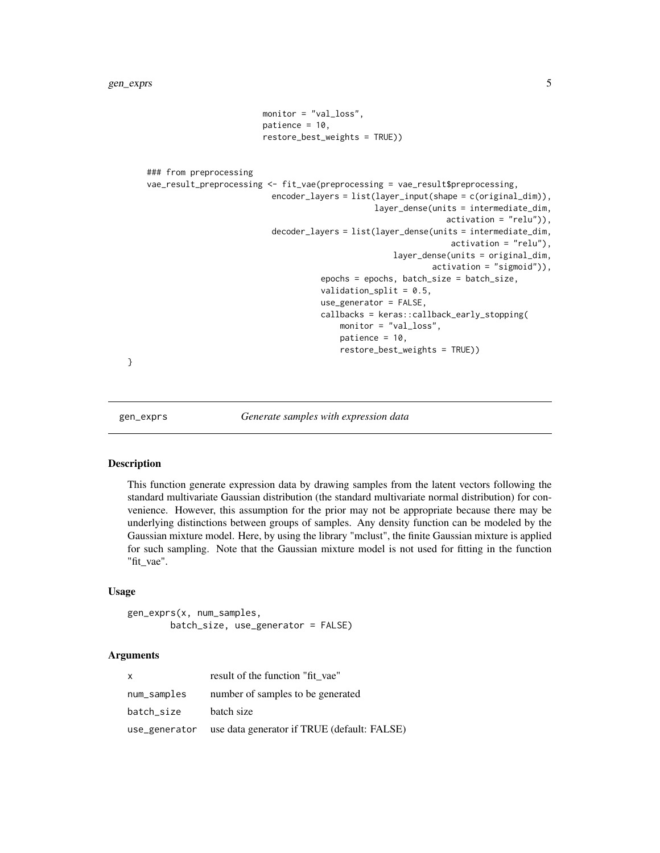```
monitor = "val_loss",
                        patience = 10,
                        restore_best_weights = TRUE))
### from preprocessing
vae_result_preprocessing <- fit_vae(preprocessing = vae_result$preprocessing,
                          encoder_layers = list(layer_input(shape = c(original_dim)),
                                                layer_dense(units = intermediate_dim,
                                                               activation = "relu")),
                          decoder_layers = list(layer_dense(units = intermediate_dim,
                                                                activation = "relu"),
                                                    layer_dense(units = original_dim,
                                                            activation = "sigmoid")),
                                    epochs = epochs, batch_size = batch_size,
                                    validation_split = 0.5,
                                    use_generator = FALSE,
                                    callbacks = keras::callback_early_stopping(
                                        monitor = "val_loss",
                                        patience = 10,
                                        restore_best_weights = TRUE))
```
}

gen\_exprs *Generate samples with expression data*

#### **Description**

This function generate expression data by drawing samples from the latent vectors following the standard multivariate Gaussian distribution (the standard multivariate normal distribution) for convenience. However, this assumption for the prior may not be appropriate because there may be underlying distinctions between groups of samples. Any density function can be modeled by the Gaussian mixture model. Here, by using the library "mclust", the finite Gaussian mixture is applied for such sampling. Note that the Gaussian mixture model is not used for fitting in the function "fit\_vae".

#### Usage

gen\_exprs(x, num\_samples, batch\_size, use\_generator = FALSE)

#### Arguments

| $\mathsf{x}$ | result of the function "fit vae"                          |
|--------------|-----------------------------------------------------------|
| num_samples  | number of samples to be generated                         |
| batch_size   | batch size                                                |
|              | use_generator use data generator if TRUE (default: FALSE) |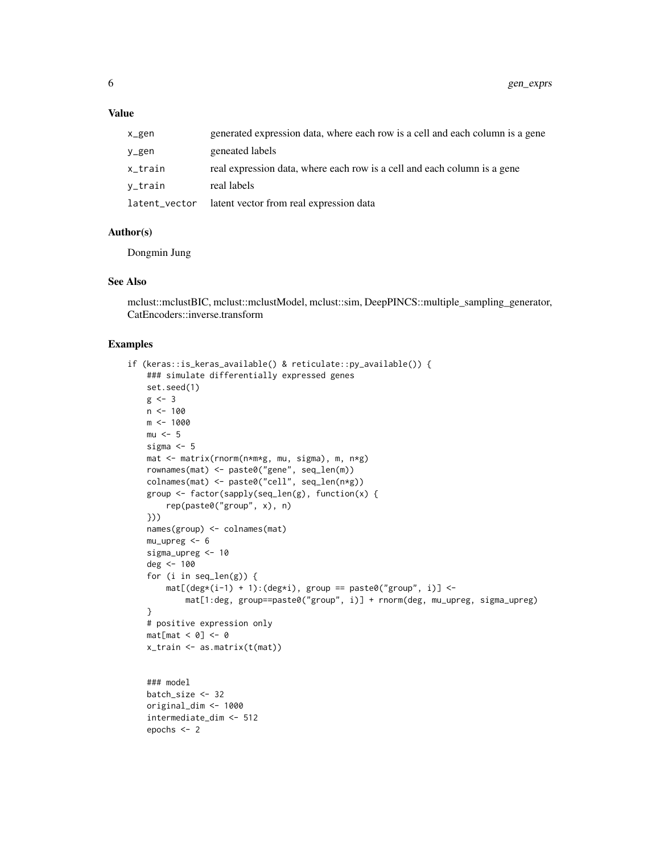#### Value

| x_gen         | generated expression data, where each row is a cell and each column is a gene |
|---------------|-------------------------------------------------------------------------------|
| y_gen         | geneated labels                                                               |
| x_train       | real expression data, where each row is a cell and each column is a gene      |
| v_train       | real labels                                                                   |
| latent_vector | latent vector from real expression data                                       |

#### Author(s)

Dongmin Jung

#### See Also

mclust::mclustBIC, mclust::mclustModel, mclust::sim, DeepPINCS::multiple\_sampling\_generator, CatEncoders::inverse.transform

#### Examples

```
if (keras::is_keras_available() & reticulate::py_available()) {
   ### simulate differentially expressed genes
   set.seed(1)
   g \leftarrow 3n <- 100
   m <- 1000
   mu < -5sigma \leq- 5
   mat <- matrix(rnorm(n*m*g, mu, sigma), m, n*g)
   rownames(mat) <- paste0("gene", seq_len(m))
   colnames(mat) <- paste0("cell", seq_len(n*g))
   group <- factor(sapply(seq_len(g), function(x) {
        rep(paste0("group", x), n)
   }))
   names(group) <- colnames(mat)
   mu\_upreg < -6sigma_upreg <- 10
   deg <- 100
   for (i in seq_len(g)) {
       mat[(deg*(i-1) + 1):(deg* i), group == paste0("group", i)] <-
            mat[1:deg, group==paste0("group", i)] + rnorm(deg, mu_upreg, sigma_upreg)
    }
   # positive expression only
   mat[mat < 0] <- 0
   x_train <- as.matrix(t(mat))
    ### model
   batch_size <- 32
   original_dim <- 1000
    intermediate_dim <- 512
   epochs <- 2
```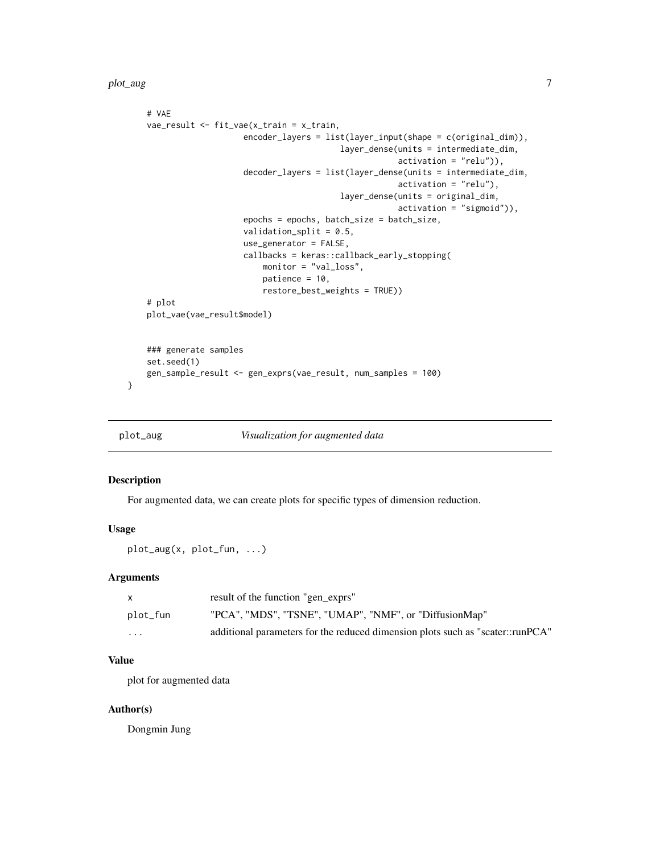```
# VAE
   vae_result <- fit_vae(x_train = x_train,
                        encoder_layers = list(layer_input(shape = c(original_dim)),
                                            layer_dense(units = intermediate_dim,
                                                        activation = "relu")),
                        decoder_layers = list(layer_dense(units = intermediate_dim,
                                                        activation = "relu"),
                                            layer_dense(units = original_dim,
                                                        activation = "sigmoid")),
                        epochs = epochs, batch_size = batch_size,
                        validation_split = 0.5,
                        use_generator = FALSE,
                        callbacks = keras::callback_early_stopping(
                            monitor = "val_loss",
                            patience = 10,
                            restore_best_weights = TRUE))
    # plot
   plot_vae(vae_result$model)
    ### generate samples
   set.seed(1)
   gen_sample_result <- gen_exprs(vae_result, num_samples = 100)
}
```
plot\_aug *Visualization for augmented data*

#### Description

For augmented data, we can create plots for specific types of dimension reduction.

#### Usage

plot\_aug(x, plot\_fun, ...)

#### Arguments

| X        | result of the function "gen_exprs"                                             |
|----------|--------------------------------------------------------------------------------|
| plot_fun | "PCA", "MDS", "TSNE", "UMAP", "NMF", or "DiffusionMap"                         |
| $\cdots$ | additional parameters for the reduced dimension plots such as "scater::runPCA" |

#### Value

plot for augmented data

#### Author(s)

Dongmin Jung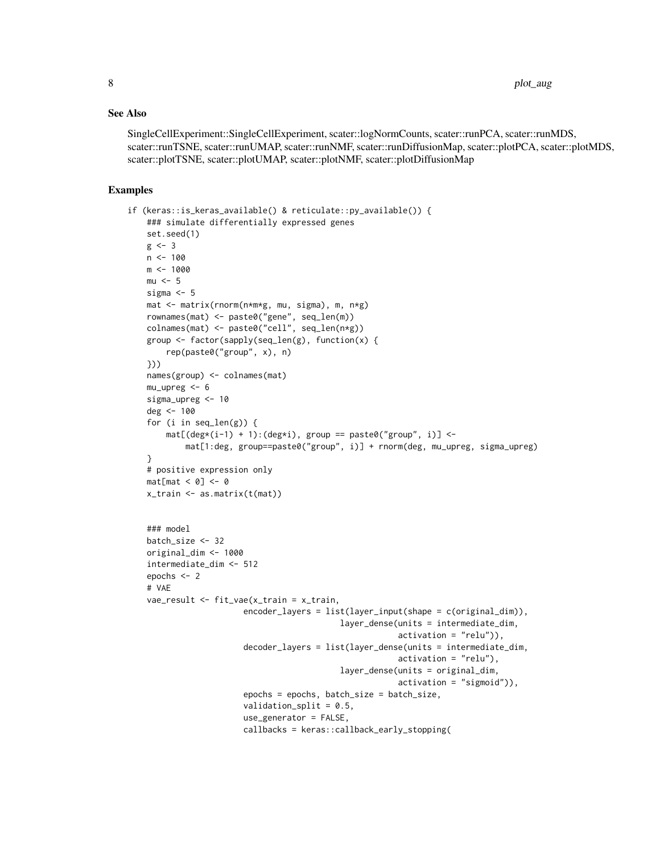#### See Also

SingleCellExperiment::SingleCellExperiment, scater::logNormCounts, scater::runPCA, scater::runMDS, scater::runTSNE, scater::runUMAP, scater::runNMF, scater::runDiffusionMap, scater::plotPCA, scater::plotMDS, scater::plotTSNE, scater::plotUMAP, scater::plotNMF, scater::plotDiffusionMap

#### Examples

```
if (keras::is_keras_available() & reticulate::py_available()) {
   ### simulate differentially expressed genes
   set.seed(1)
   g \leftarrow 3n <- 100
   m <- 1000
   mu < - 5sigma <-5mat <- matrix(rnorm(n*m*g, mu, sigma), m, n*g)
   rownames(mat) <- paste0("gene", seq_len(m))
   colnames(mat) <- paste0("cell", seq_len(n*g))
   group <- factor(sapply(seq_len(g), function(x) {
       rep(paste0("group", x), n)
   }))
   names(group) <- colnames(mat)
   mu\_upreg < -6sigma_upreg <- 10
   deg <- 100
   for (i in seq_len(g)) {
       mat[(deg*(i-1) + 1):(deg* i), group == paste0("group", i)] <-
           mat[1:deg, group = paste0("group", i)] + rnorm(deg, mu\_upreg, sigma\_upreg)}
   # positive expression only
   mat[mat < 0] <- 0
   x_train <- as.matrix(t(mat))
   ### model
   batch_size <- 32
   original_dim <- 1000
   intermediate_dim <- 512
   epochs <- 2
   # VAE
   vae_result <- fit_vae(x_train = x_train,
                        encoder_layers = list(layer_input(shape = c(original_dim)),
                                            layer_dense(units = intermediate_dim,
                                                         activation = "relu")),
                        decoder_layers = list(layer_dense(units = intermediate_dim,
                                                         activation = "relu"),
                                            layer_dense(units = original_dim,
                                                         activation = "sigmoid")),
                        epochs = epochs, batch_size = batch_size,
                        validation_split = 0.5,
                        use_generator = FALSE,
                        callbacks = keras::callback_early_stopping(
```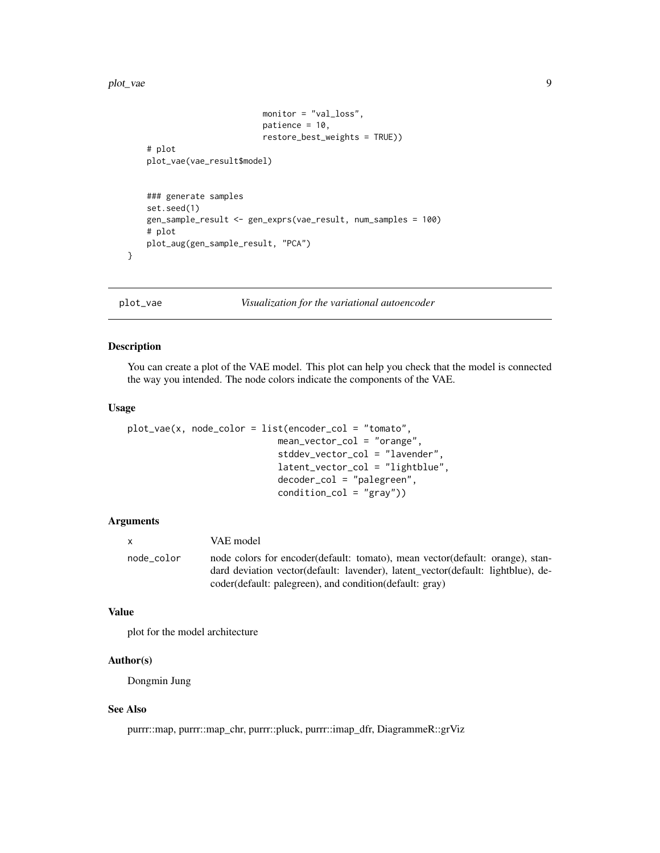#### <span id="page-8-0"></span>plot\_vae 9

```
monitor = "val_loss",
                        patience = 10,
                        restore_best_weights = TRUE))
# plot
plot_vae(vae_result$model)
### generate samples
set.seed(1)
gen_sample_result <- gen_exprs(vae_result, num_samples = 100)
# plot
plot_aug(gen_sample_result, "PCA")
```
}

plot\_vae *Visualization for the variational autoencoder*

#### Description

You can create a plot of the VAE model. This plot can help you check that the model is connected the way you intended. The node colors indicate the components of the VAE.

#### Usage

```
plot\_vae(x, node\_color = list(encode\_col = "tomato",mean_vector_col = "orange",
                            stddev_vector_col = "lavender",
                            latent_vector_col = "lightblue",
                            decoder_col = "palegreen",
                            condition\_col = "gray")
```
#### Arguments

| $\mathbf{x}$ | VAE model                                                                                                                                                                                                                      |
|--------------|--------------------------------------------------------------------------------------------------------------------------------------------------------------------------------------------------------------------------------|
| node color   | node colors for encoder (default: tomato), mean vector (default: orange), stan-<br>dard deviation vector(default: lavender), latent vector(default: lightblue), de-<br>coder(default: palegreen), and condition(default: gray) |

#### Value

plot for the model architecture

#### Author(s)

Dongmin Jung

#### See Also

purrr::map, purrr::map\_chr, purrr::pluck, purrr::imap\_dfr, DiagrammeR::grViz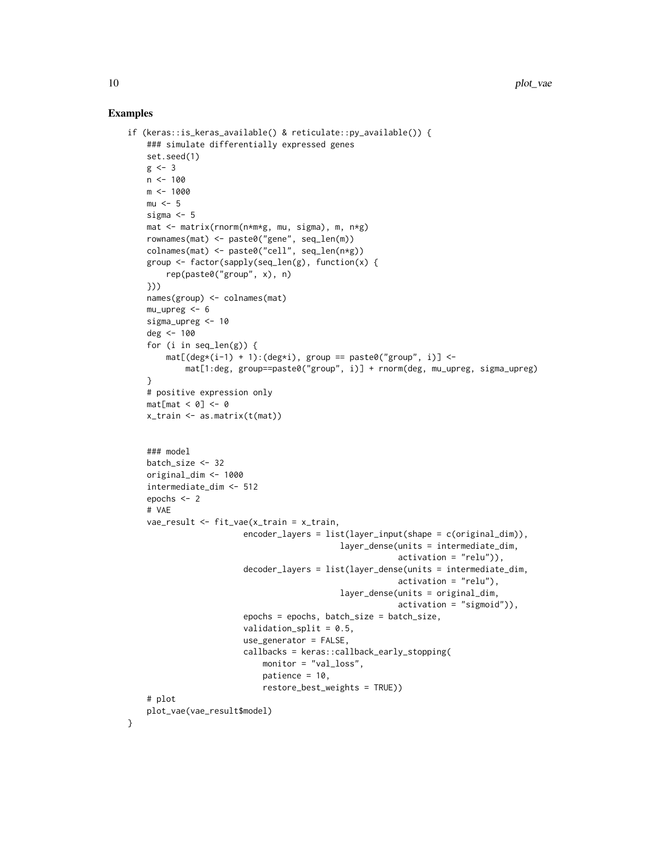#### Examples

}

```
if (keras::is_keras_available() & reticulate::py_available()) {
   ### simulate differentially expressed genes
   set.seed(1)
   g \leftarrow 3n < - 100m <- 1000
   mu < - 5sigma <-5mat <- matrix(rnorm(n*m*g, mu, sigma), m, n*g)
   rownames(mat) <- paste0("gene", seq_len(m))
   colnames(mat) <- paste0("cell", seq_len(n*g))
   group <- factor(sapply(seq_len(g), function(x) {
       rep(paste0("group", x), n)
   }))
   names(group) <- colnames(mat)
   mu_upreg <- 6
   sigma_upreg <- 10
   deg <- 100
   for (i in seq_len(g)) {
       mat[(deg*(i-1) + 1):(deg* i), group == paste0("group", i)] <-
           mat[1:deg, group==paste0("group", i)] + rnorm(deg, mu_upreg, sigma_upreg)
    }
   # positive expression only
   mat[mat < 0] <- 0
   x_train <- as.matrix(t(mat))
   ### model
   batch_size <- 32
   original_dim <- 1000
   intermediate_dim <- 512
   epochs <- 2
   # VAE
   vae_result <- fit_vae(x_train = x_train,
                        encoder_layers = list(layer_input(shape = c(original_dim)),
                                            layer_dense(units = intermediate_dim,
                                                        activation = "relu")),
                        decoder_layers = list(layer_dense(units = intermediate_dim,
                                                        activation = "relu"),
                                            layer_dense(units = original_dim,
                                                        activation = "sigmoid")),
                        epochs = epochs, batch_size = batch_size,
                        validation_split = 0.5,
                        use_generator = FALSE,
                        callbacks = keras::callback_early_stopping(
                            monitor = "val_loss",
                            patience = 10,
                            restore_best_weights = TRUE))
   # plot
   plot_vae(vae_result$model)
```